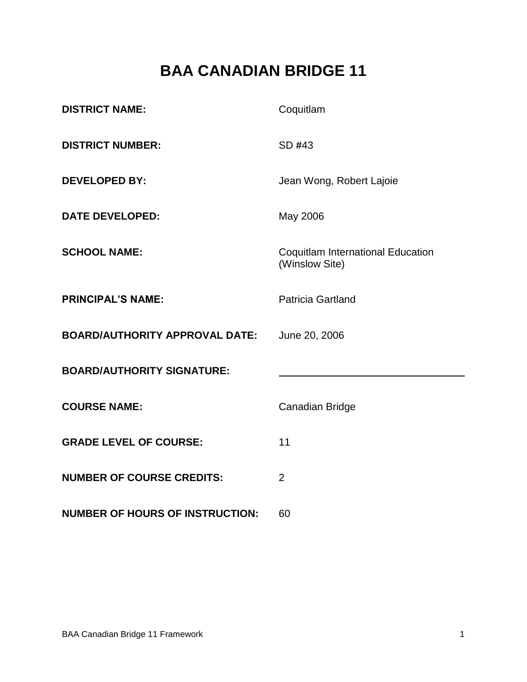# **BAA CANADIAN BRIDGE 11**

| <b>DISTRICT NAME:</b>                  | Coquitlam                                                  |
|----------------------------------------|------------------------------------------------------------|
| <b>DISTRICT NUMBER:</b>                | SD #43                                                     |
| <b>DEVELOPED BY:</b>                   | Jean Wong, Robert Lajoie                                   |
| <b>DATE DEVELOPED:</b>                 | May 2006                                                   |
| <b>SCHOOL NAME:</b>                    | <b>Coquitlam International Education</b><br>(Winslow Site) |
| <b>PRINCIPAL'S NAME:</b>               | <b>Patricia Gartland</b>                                   |
| <b>BOARD/AUTHORITY APPROVAL DATE:</b>  | June 20, 2006                                              |
| <b>BOARD/AUTHORITY SIGNATURE:</b>      |                                                            |
| <b>COURSE NAME:</b>                    | <b>Canadian Bridge</b>                                     |
| <b>GRADE LEVEL OF COURSE:</b>          | 11                                                         |
| <b>NUMBER OF COURSE CREDITS:</b>       | $\overline{2}$                                             |
| <b>NUMBER OF HOURS OF INSTRUCTION:</b> | 60                                                         |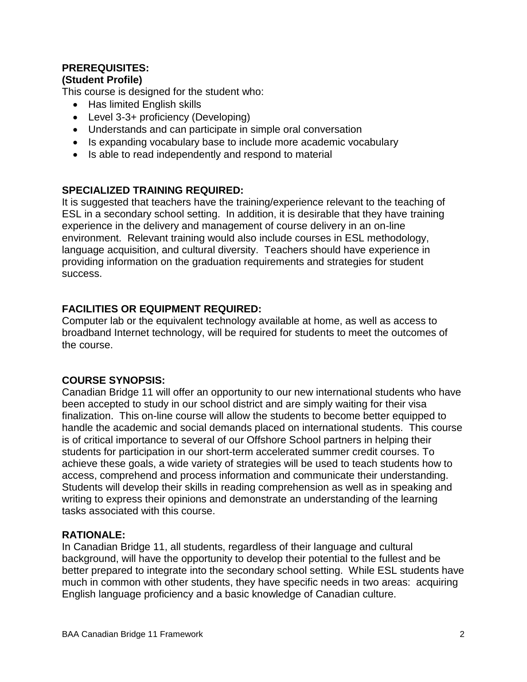## **PREREQUISITES:**

#### **(Student Profile)**

This course is designed for the student who:

- Has limited English skills
- Level 3-3+ proficiency (Developing)
- Understands and can participate in simple oral conversation
- Is expanding vocabulary base to include more academic vocabulary
- Is able to read independently and respond to material

#### **SPECIALIZED TRAINING REQUIRED:**

It is suggested that teachers have the training/experience relevant to the teaching of ESL in a secondary school setting. In addition, it is desirable that they have training experience in the delivery and management of course delivery in an on-line environment. Relevant training would also include courses in ESL methodology, language acquisition, and cultural diversity. Teachers should have experience in providing information on the graduation requirements and strategies for student success.

### **FACILITIES OR EQUIPMENT REQUIRED:**

Computer lab or the equivalent technology available at home, as well as access to broadband Internet technology, will be required for students to meet the outcomes of the course.

### **COURSE SYNOPSIS:**

Canadian Bridge 11 will offer an opportunity to our new international students who have been accepted to study in our school district and are simply waiting for their visa finalization. This on-line course will allow the students to become better equipped to handle the academic and social demands placed on international students. This course is of critical importance to several of our Offshore School partners in helping their students for participation in our short-term accelerated summer credit courses. To achieve these goals, a wide variety of strategies will be used to teach students how to access, comprehend and process information and communicate their understanding. Students will develop their skills in reading comprehension as well as in speaking and writing to express their opinions and demonstrate an understanding of the learning tasks associated with this course.

### **RATIONALE:**

In Canadian Bridge 11, all students, regardless of their language and cultural background, will have the opportunity to develop their potential to the fullest and be better prepared to integrate into the secondary school setting. While ESL students have much in common with other students, they have specific needs in two areas: acquiring English language proficiency and a basic knowledge of Canadian culture.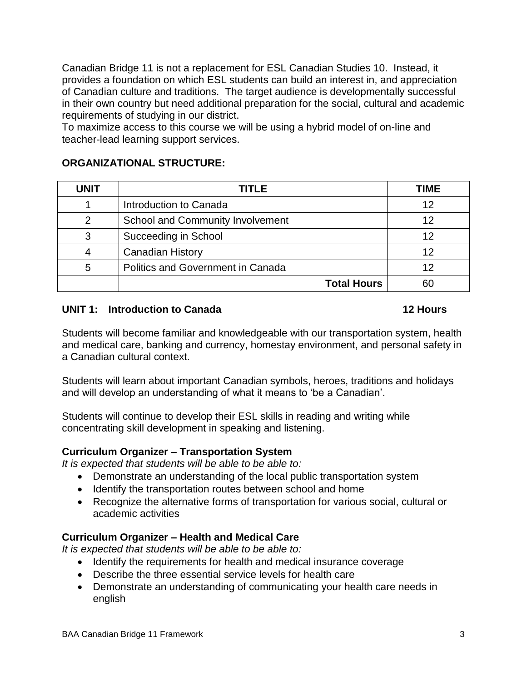Canadian Bridge 11 is not a replacement for ESL Canadian Studies 10. Instead, it provides a foundation on which ESL students can build an interest in, and appreciation of Canadian culture and traditions. The target audience is developmentally successful in their own country but need additional preparation for the social, cultural and academic requirements of studying in our district.

To maximize access to this course we will be using a hybrid model of on-line and teacher-lead learning support services.

#### **ORGANIZATIONAL STRUCTURE:**

| <b>UNIT</b> | TITLE                                    | <b>TIME</b> |
|-------------|------------------------------------------|-------------|
|             | Introduction to Canada                   |             |
|             | <b>School and Community Involvement</b>  | 12          |
| 3           | Succeeding in School                     |             |
|             | <b>Canadian History</b>                  | 12          |
| 5           | <b>Politics and Government in Canada</b> |             |
|             | <b>Total Hours</b>                       | 60          |

#### **UNIT 1: Introduction to Canada 12 Hours**

Students will become familiar and knowledgeable with our transportation system, health and medical care, banking and currency, homestay environment, and personal safety in a Canadian cultural context.

Students will learn about important Canadian symbols, heroes, traditions and holidays and will develop an understanding of what it means to 'be a Canadian'.

Students will continue to develop their ESL skills in reading and writing while concentrating skill development in speaking and listening.

### **Curriculum Organizer – Transportation System**

*It is expected that students will be able to be able to:*

- Demonstrate an understanding of the local public transportation system
- Identify the transportation routes between school and home
- Recognize the alternative forms of transportation for various social, cultural or academic activities

### **Curriculum Organizer – Health and Medical Care**

*It is expected that students will be able to be able to:*

- Identify the requirements for health and medical insurance coverage
- Describe the three essential service levels for health care
- Demonstrate an understanding of communicating your health care needs in english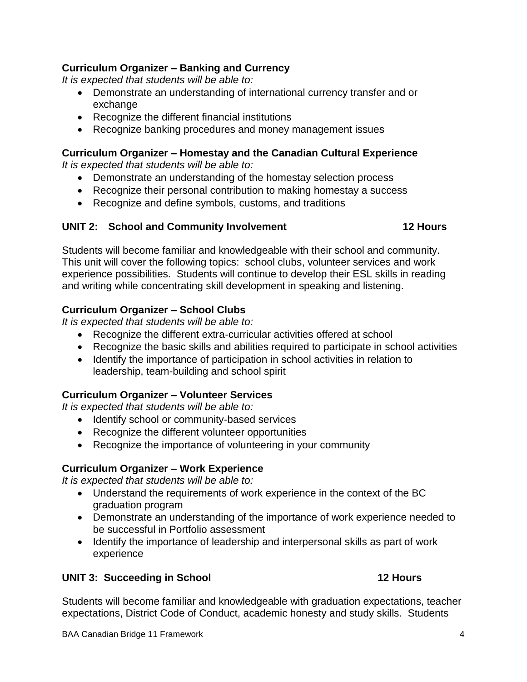#### **Curriculum Organizer – Banking and Currency**

*It is expected that students will be able to:*

- Demonstrate an understanding of international currency transfer and or exchange
- Recognize the different financial institutions
- Recognize banking procedures and money management issues

#### **Curriculum Organizer – Homestay and the Canadian Cultural Experience**

*It is expected that students will be able to:*

- Demonstrate an understanding of the homestay selection process
- Recognize their personal contribution to making homestay a success
- Recognize and define symbols, customs, and traditions

#### **UNIT 2: School and Community Involvement 12 Hours**

Students will become familiar and knowledgeable with their school and community. This unit will cover the following topics: school clubs, volunteer services and work experience possibilities. Students will continue to develop their ESL skills in reading and writing while concentrating skill development in speaking and listening.

#### **Curriculum Organizer – School Clubs**

*It is expected that students will be able to:*

- Recognize the different extra-curricular activities offered at school
- Recognize the basic skills and abilities required to participate in school activities
- Identify the importance of participation in school activities in relation to leadership, team-building and school spirit

#### **Curriculum Organizer – Volunteer Services**

*It is expected that students will be able to:*

- Identify school or community-based services
- Recognize the different volunteer opportunities
- Recognize the importance of volunteering in your community

#### **Curriculum Organizer – Work Experience**

*It is expected that students will be able to:*

- Understand the requirements of work experience in the context of the BC graduation program
- Demonstrate an understanding of the importance of work experience needed to be successful in Portfolio assessment
- Identify the importance of leadership and interpersonal skills as part of work experience

#### **UNIT 3: Succeeding in School 12 Hours**

Students will become familiar and knowledgeable with graduation expectations, teacher expectations, District Code of Conduct, academic honesty and study skills. Students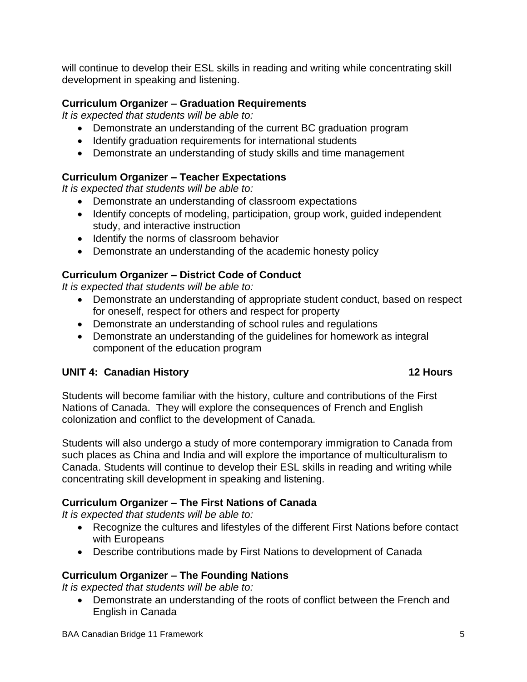will continue to develop their ESL skills in reading and writing while concentrating skill development in speaking and listening.

#### **Curriculum Organizer – Graduation Requirements**

*It is expected that students will be able to:*

- Demonstrate an understanding of the current BC graduation program
- Identify graduation requirements for international students
- Demonstrate an understanding of study skills and time management

### **Curriculum Organizer – Teacher Expectations**

*It is expected that students will be able to:*

- Demonstrate an understanding of classroom expectations
- Identify concepts of modeling, participation, group work, guided independent study, and interactive instruction
- Identify the norms of classroom behavior
- Demonstrate an understanding of the academic honesty policy

### **Curriculum Organizer – District Code of Conduct**

*It is expected that students will be able to:*

- Demonstrate an understanding of appropriate student conduct, based on respect for oneself, respect for others and respect for property
- Demonstrate an understanding of school rules and regulations
- Demonstrate an understanding of the guidelines for homework as integral component of the education program

### **UNIT 4: Canadian History 12 Hours**

Students will become familiar with the history, culture and contributions of the First Nations of Canada. They will explore the consequences of French and English colonization and conflict to the development of Canada.

Students will also undergo a study of more contemporary immigration to Canada from such places as China and India and will explore the importance of multiculturalism to Canada. Students will continue to develop their ESL skills in reading and writing while concentrating skill development in speaking and listening.

### **Curriculum Organizer – The First Nations of Canada**

*It is expected that students will be able to:*

- Recognize the cultures and lifestyles of the different First Nations before contact with Europeans
- Describe contributions made by First Nations to development of Canada

### **Curriculum Organizer – The Founding Nations**

*It is expected that students will be able to:*

 Demonstrate an understanding of the roots of conflict between the French and English in Canada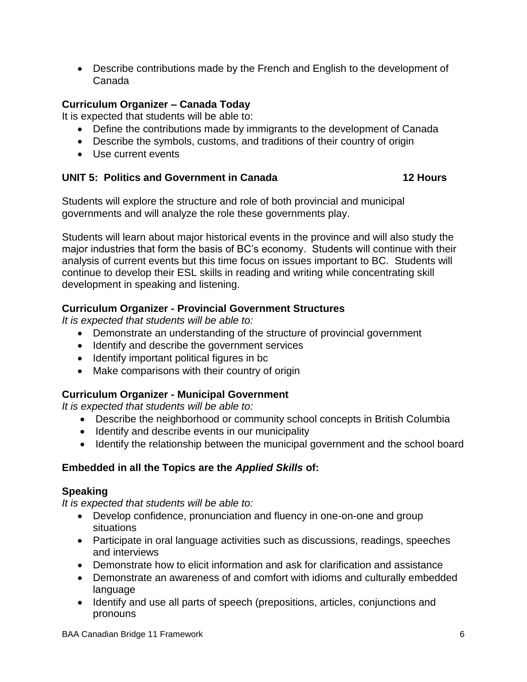Describe contributions made by the French and English to the development of Canada

### **Curriculum Organizer – Canada Today**

It is expected that students will be able to:

- Define the contributions made by immigrants to the development of Canada
- Describe the symbols, customs, and traditions of their country of origin
- Use current events

#### **UNIT 5: Politics and Government in Canada 12 Hours**

Students will explore the structure and role of both provincial and municipal governments and will analyze the role these governments play.

Students will learn about major historical events in the province and will also study the major industries that form the basis of BC's economy. Students will continue with their analysis of current events but this time focus on issues important to BC. Students will continue to develop their ESL skills in reading and writing while concentrating skill development in speaking and listening.

### **Curriculum Organizer - Provincial Government Structures**

*It is expected that students will be able to:*

- Demonstrate an understanding of the structure of provincial government
- Identify and describe the government services
- Identify important political figures in bc
- Make comparisons with their country of origin

### **Curriculum Organizer - Municipal Government**

*It is expected that students will be able to:*

- Describe the neighborhood or community school concepts in British Columbia
- Identify and describe events in our municipality
- Identify the relationship between the municipal government and the school board

### **Embedded in all the Topics are the** *Applied Skills* **of:**

### **Speaking**

*It is expected that students will be able to:*

- Develop confidence, pronunciation and fluency in one-on-one and group situations
- Participate in oral language activities such as discussions, readings, speeches and interviews
- Demonstrate how to elicit information and ask for clarification and assistance
- Demonstrate an awareness of and comfort with idioms and culturally embedded language
- Identify and use all parts of speech (prepositions, articles, conjunctions and pronouns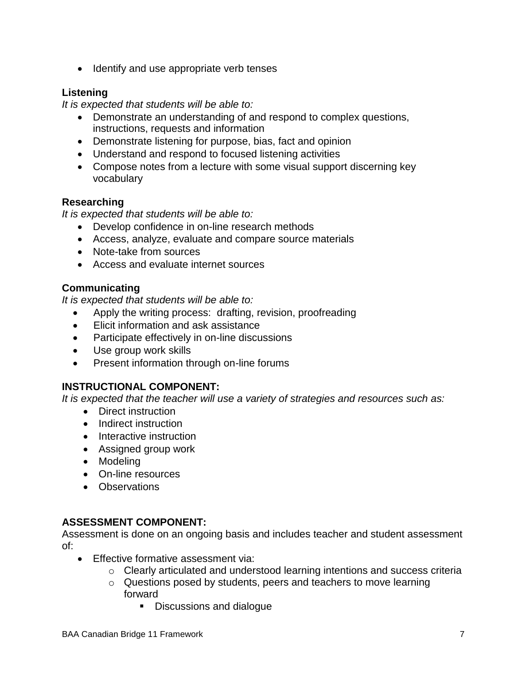• Identify and use appropriate verb tenses

### **Listening**

*It is expected that students will be able to:*

- Demonstrate an understanding of and respond to complex questions, instructions, requests and information
- Demonstrate listening for purpose, bias, fact and opinion
- Understand and respond to focused listening activities
- Compose notes from a lecture with some visual support discerning key vocabulary

#### **Researching**

*It is expected that students will be able to:* 

- Develop confidence in on-line research methods
- Access, analyze, evaluate and compare source materials
- Note-take from sources
- Access and evaluate internet sources

#### **Communicating**

*It is expected that students will be able to:* 

- Apply the writing process: drafting, revision, proofreading
- Elicit information and ask assistance
- Participate effectively in on-line discussions
- Use group work skills
- Present information through on-line forums

#### **INSTRUCTIONAL COMPONENT:**

*It is expected that the teacher will use a variety of strategies and resources such as:*

- Direct instruction
- Indirect instruction
- Interactive instruction
- Assigned group work
- Modeling
- On-line resources
- Observations

### **ASSESSMENT COMPONENT:**

Assessment is done on an ongoing basis and includes teacher and student assessment of:

- **Effective formative assessment via:** 
	- o Clearly articulated and understood learning intentions and success criteria
	- o Questions posed by students, peers and teachers to move learning forward
		- **Discussions and dialogue**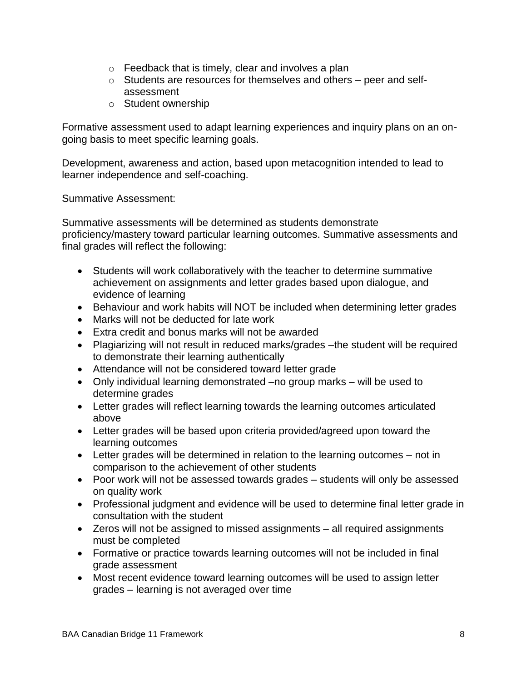- o Feedback that is timely, clear and involves a plan
- o Students are resources for themselves and others peer and selfassessment
- o Student ownership

Formative assessment used to adapt learning experiences and inquiry plans on an ongoing basis to meet specific learning goals.

Development, awareness and action, based upon metacognition intended to lead to learner independence and self-coaching.

Summative Assessment:

Summative assessments will be determined as students demonstrate proficiency/mastery toward particular learning outcomes. Summative assessments and final grades will reflect the following:

- Students will work collaboratively with the teacher to determine summative achievement on assignments and letter grades based upon dialogue, and evidence of learning
- Behaviour and work habits will NOT be included when determining letter grades
- Marks will not be deducted for late work
- Extra credit and bonus marks will not be awarded
- Plagiarizing will not result in reduced marks/grades –the student will be required to demonstrate their learning authentically
- Attendance will not be considered toward letter grade
- Only individual learning demonstrated –no group marks will be used to determine grades
- Letter grades will reflect learning towards the learning outcomes articulated above
- Letter grades will be based upon criteria provided/agreed upon toward the learning outcomes
- Letter grades will be determined in relation to the learning outcomes not in comparison to the achievement of other students
- Poor work will not be assessed towards grades students will only be assessed on quality work
- Professional judgment and evidence will be used to determine final letter grade in consultation with the student
- Zeros will not be assigned to missed assignments all required assignments must be completed
- Formative or practice towards learning outcomes will not be included in final grade assessment
- Most recent evidence toward learning outcomes will be used to assign letter grades – learning is not averaged over time